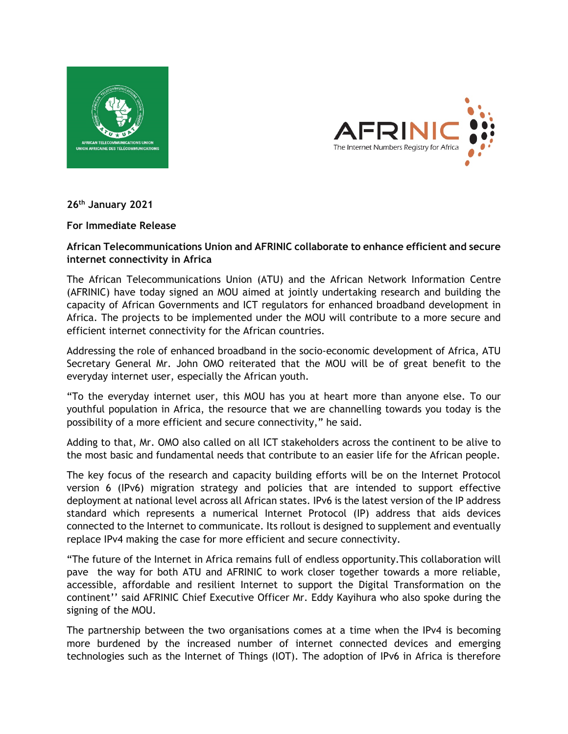



**26th January 2021**

### **For Immediate Release**

# **African Telecommunications Union and AFRINIC collaborate to enhance efficient and secure internet connectivity in Africa**

The African Telecommunications Union (ATU) and the African Network Information Centre (AFRINIC) have today signed an MOU aimed at jointly undertaking research and building the capacity of African Governments and ICT regulators for enhanced broadband development in Africa. The projects to be implemented under the MOU will contribute to a more secure and efficient internet connectivity for the African countries.

Addressing the role of enhanced broadband in the socio-economic development of Africa, ATU Secretary General Mr. John OMO reiterated that the MOU will be of great benefit to the everyday internet user, especially the African youth.

"To the everyday internet user, this MOU has you at heart more than anyone else. To our youthful population in Africa, the resource that we are channelling towards you today is the possibility of a more efficient and secure connectivity," he said.

Adding to that, Mr. OMO also called on all ICT stakeholders across the continent to be alive to the most basic and fundamental needs that contribute to an easier life for the African people.

The key focus of the research and capacity building efforts will be on the Internet Protocol version 6 (IPv6) migration strategy and policies that are intended to support effective deployment at national level across all African states. IPv6 is the latest version of the IP address standard which represents a numerical Internet Protocol (IP) address that aids devices connected to the Internet to communicate. Its rollout is designed to supplement and eventually replace IPv4 making the case for more efficient and secure connectivity.

"The future of the Internet in Africa remains full of endless opportunity.This collaboration will pave the way for both ATU and AFRINIC to work closer together towards a more reliable, accessible, affordable and resilient Internet to support the Digital Transformation on the continent'' said AFRINIC Chief Executive Officer Mr. Eddy Kayihura who also spoke during the signing of the MOU.

The partnership between the two organisations comes at a time when the IPv4 is becoming more burdened by the increased number of internet connected devices and emerging technologies such as the Internet of Things (IOT). The adoption of IPv6 in Africa is therefore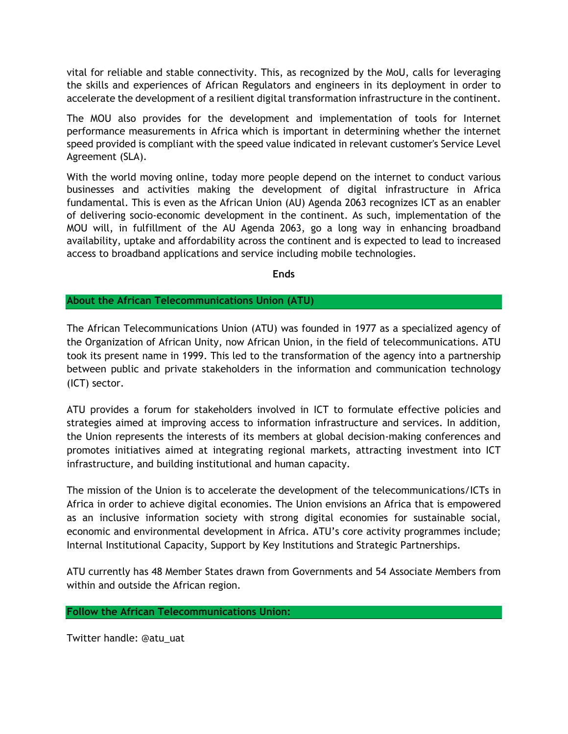vital for reliable and stable connectivity. This, as recognized by the MoU, calls for leveraging the skills and experiences of African Regulators and engineers in its deployment in order to accelerate the development of a resilient digital transformation infrastructure in the continent.

The MOU also provides for the development and implementation of tools for Internet performance measurements in Africa which is important in determining whether the internet speed provided is compliant with the speed value indicated in relevant customer's Service Level Agreement (SLA).

With the world moving online, today more people depend on the internet to conduct various businesses and activities making the development of digital infrastructure in Africa fundamental. This is even as the African Union (AU) Agenda 2063 recognizes ICT as an enabler of delivering socio-economic development in the continent. As such, implementation of the MOU will, in fulfillment of the AU Agenda 2063, go a long way in enhancing broadband availability, uptake and affordability across the continent and is expected to lead to increased access to broadband applications and service including mobile technologies.

**Ends**

## **About the African Telecommunications Union (ATU)**

The African Telecommunications Union (ATU) was founded in 1977 as a specialized agency of the Organization of African Unity, now African Union, in the field of telecommunications. ATU took its present name in 1999. This led to the transformation of the agency into a partnership between public and private stakeholders in the information and communication technology (ICT) sector.

ATU provides a forum for stakeholders involved in ICT to formulate effective policies and strategies aimed at improving access to information infrastructure and services. In addition, the Union represents the interests of its members at global decision-making conferences and promotes initiatives aimed at integrating regional markets, attracting investment into ICT infrastructure, and building institutional and human capacity.

The mission of the Union is to accelerate the development of the telecommunications/ICTs in Africa in order to achieve digital economies. The Union envisions an Africa that is empowered as an inclusive information society with strong digital economies for sustainable social, economic and environmental development in Africa. ATU's core activity programmes include; Internal Institutional Capacity, Support by Key Institutions and Strategic Partnerships.

ATU currently has 48 Member States drawn from Governments and 54 Associate Members from within and outside the African region.

## **Follow the African Telecommunications Union:**

Twitter handle: @atu\_uat